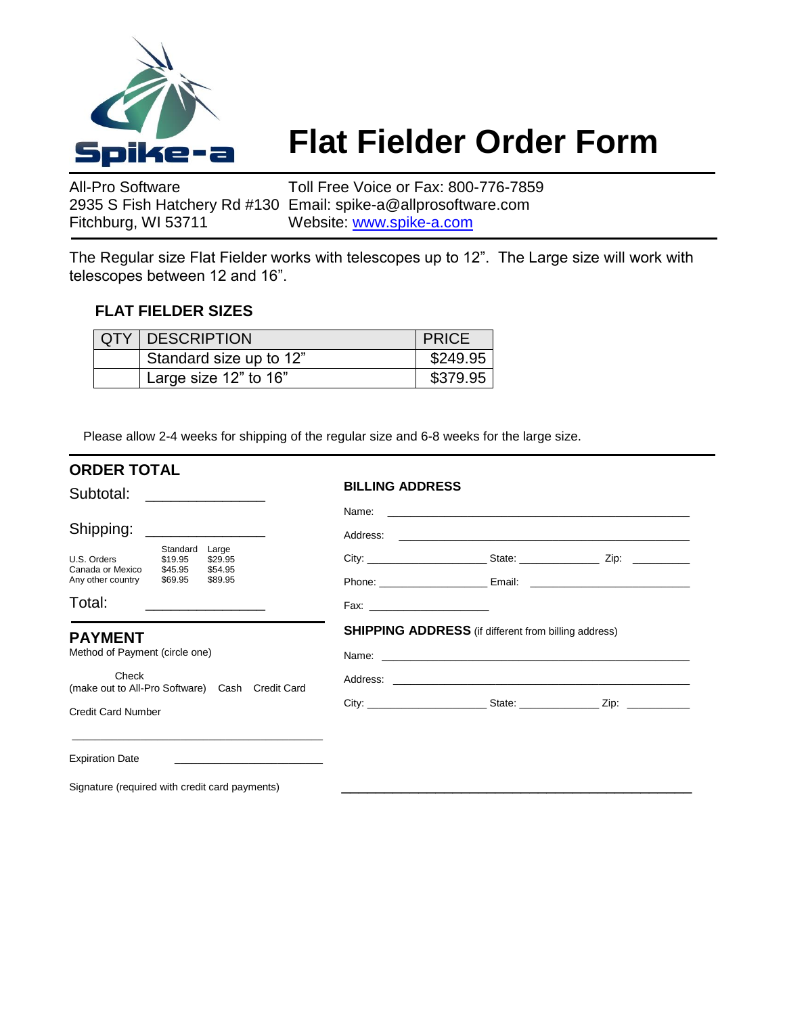

## **Flat Fielder Order Form**

All-Pro Software Toll Free Voice or Fax: 800-776-7859 2935 S Fish Hatchery Rd #130 Email: spike-a@allprosoftware.com Fitchburg, WI 53711 Website: [www.spike-a.com](http://www.spike-a.com/)

The Regular size Flat Fielder works with telescopes up to 12". The Large size will work with telescopes between 12 and 16".

## **FLAT FIELDER SIZES**

| <b>QTY   DESCRIPTION</b> | <b>PRICE</b> |
|--------------------------|--------------|
| Standard size up to 12"  | \$249.95     |
| Large size 12" to 16"    | \$379.95     |

Please allow 2-4 weeks for shipping of the regular size and 6-8 weeks for the large size.

| <b>ORDER TOTAL</b>                                                           |          |                                                 |                        |                                                                                                                |  |
|------------------------------------------------------------------------------|----------|-------------------------------------------------|------------------------|----------------------------------------------------------------------------------------------------------------|--|
| Subtotal:                                                                    |          |                                                 | <b>BILLING ADDRESS</b> |                                                                                                                |  |
| Shipping:                                                                    |          |                                                 |                        | Name: 2008. 2009. 2009. 2009. 2009. 2009. 2009. 2009. 2009. 2009. 2009. 2009. 2009. 2009. 2009. 2009. 2009. 20 |  |
| U.S. Orders \$19.95<br>Canada or Mexico \$45.95<br>Any other country \$69.95 | Standard | Large<br>\$29.95<br>\$54.95<br>\$89.95          |                        |                                                                                                                |  |
| Total:                                                                       |          |                                                 |                        |                                                                                                                |  |
| <b>PAYMENT</b><br>Method of Payment (circle one)                             |          |                                                 |                        | <b>SHIPPING ADDRESS</b> (if different from billing address)                                                    |  |
| Check                                                                        |          | (make out to All-Pro Software) Cash Credit Card |                        |                                                                                                                |  |
| <b>Credit Card Number</b>                                                    |          |                                                 |                        |                                                                                                                |  |
| <b>Expiration Date</b>                                                       |          |                                                 |                        |                                                                                                                |  |
| Signature (required with credit card payments)                               |          |                                                 |                        |                                                                                                                |  |